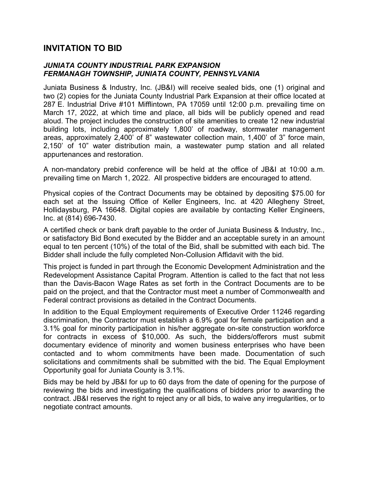## **INVITATION TO BID**

## *JUNIATA COUNTY INDUSTRIAL PARK EXPANSION FERMANAGH TOWNSHIP, JUNIATA COUNTY, PENNSYLVANIA*

Juniata Business & Industry, Inc. (JB&I) will receive sealed bids, one (1) original and two (2) copies for the Juniata County Industrial Park Expansion at their office located at 287 E. Industrial Drive #101 Mifflintown, PA 17059 until 12:00 p.m. prevailing time on March 17, 2022, at which time and place, all bids will be publicly opened and read aloud. The project includes the construction of site amenities to create 12 new industrial building lots, including approximately 1,800' of roadway, stormwater management areas, approximately 2,400' of 8" wastewater collection main, 1,400' of 3" force main, 2,150' of 10" water distribution main, a wastewater pump station and all related appurtenances and restoration.

A non-mandatory prebid conference will be held at the office of JB&I at 10:00 a.m. prevailing time on March 1, 2022. All prospective bidders are encouraged to attend.

Physical copies of the Contract Documents may be obtained by depositing \$75.00 for each set at the Issuing Office of Keller Engineers, Inc. at 420 Allegheny Street, Hollidaysburg, PA 16648. Digital copies are available by contacting Keller Engineers, Inc. at (814) 696-7430.

A certified check or bank draft payable to the order of Juniata Business & Industry, Inc., or satisfactory Bid Bond executed by the Bidder and an acceptable surety in an amount equal to ten percent (10%) of the total of the Bid, shall be submitted with each bid. The Bidder shall include the fully completed Non-Collusion Affidavit with the bid.

This project is funded in part through the Economic Development Administration and the Redevelopment Assistance Capital Program. Attention is called to the fact that not less than the Davis-Bacon Wage Rates as set forth in the Contract Documents are to be paid on the project, and that the Contractor must meet a number of Commonwealth and Federal contract provisions as detailed in the Contract Documents.

In addition to the Equal Employment requirements of Executive Order 11246 regarding discrimination, the Contractor must establish a 6.9% goal for female participation and a 3.1% goal for minority participation in his/her aggregate on-site construction workforce for contracts in excess of \$10,000. As such, the bidders/offerors must submit documentary evidence of minority and women business enterprises who have been contacted and to whom commitments have been made. Documentation of such solicitations and commitments shall be submitted with the bid. The Equal Employment Opportunity goal for Juniata County is 3.1%.

Bids may be held by JB&I for up to 60 days from the date of opening for the purpose of reviewing the bids and investigating the qualifications of bidders prior to awarding the contract. JB&I reserves the right to reject any or all bids, to waive any irregularities, or to negotiate contract amounts.